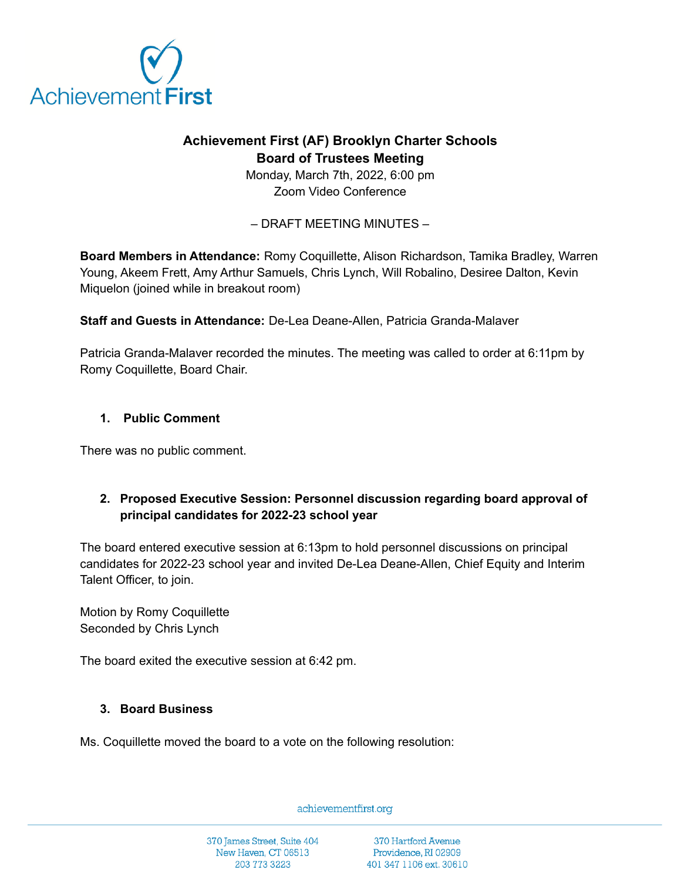

# **Achievement First (AF) Brooklyn Charter Schools Board of Trustees Meeting**

Monday, March 7th, 2022, 6:00 pm Zoom Video Conference

– DRAFT MEETING MINUTES –

**Board Members in Attendance:** Romy Coquillette, Alison Richardson, Tamika Bradley, Warren Young, Akeem Frett, Amy Arthur Samuels, Chris Lynch, Will Robalino, Desiree Dalton, Kevin Miquelon (joined while in breakout room)

**Staff and Guests in Attendance:** De-Lea Deane-Allen, Patricia Granda-Malaver

Patricia Granda-Malaver recorded the minutes. The meeting was called to order at 6:11pm by Romy Coquillette, Board Chair.

## **1. Public Comment**

There was no public comment.

# **2. Proposed Executive Session: Personnel discussion regarding board approval of principal candidates for 2022-23 school year**

The board entered executive session at 6:13pm to hold personnel discussions on principal candidates for 2022-23 school year and invited De-Lea Deane-Allen, Chief Equity and Interim Talent Officer, to join.

Motion by Romy Coquillette Seconded by Chris Lynch

The board exited the executive session at 6:42 pm.

#### **3. Board Business**

Ms. Coquillette moved the board to a vote on the following resolution:

achievementfirst.org

370 James Street, Suite 404 New Haven, CT 06513 203 773 3223